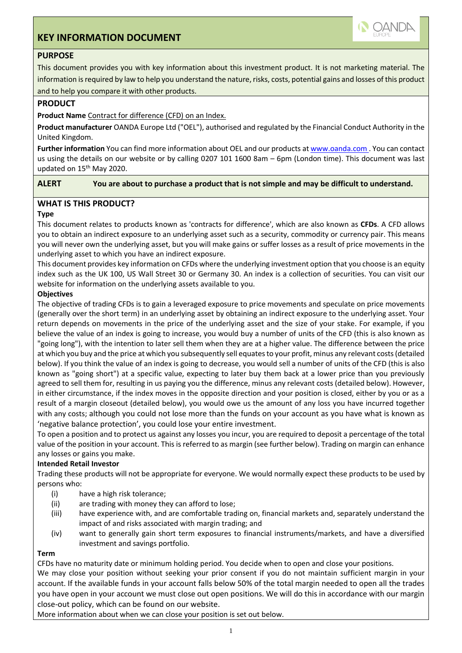# **KEY INFORMATION DOCUMENT**



# **PURPOSE**

This document provides you with key information about this investment product. It is not marketing material. The information is required by law to help you understand the nature, risks, costs, potential gains and losses of this product and to help you compare it with other products.

### **PRODUCT**

### **Product Name** Contract for difference (CFD) on an Index.

**Product manufacturer** OANDA Europe Ltd ("OEL"), authorised and regulated by the Financial Conduct Authority in the United Kingdom.

**Further information** You can find more information about OEL and our products at www.oanda.com . You can contact us using the details on our website or by calling 0207 101 1600 8am – 6pm (London time). This document was last updated on 15<sup>th</sup> May 2020.

#### **ALERT You are about to purchase a product that is not simple and may be difficult to understand.**

# **WHAT IS THIS PRODUCT?**

### **Type**

This document relates to products known as 'contracts for difference', which are also known as **CFDs**. A CFD allows you to obtain an indirect exposure to an underlying asset such as a security, commodity or currency pair. This means you will never own the underlying asset, but you will make gains or suffer losses as a result of price movements in the underlying asset to which you have an indirect exposure.

This document provides key information on CFDs where the underlying investment option that you choose is an equity index such as the UK 100, US Wall Street 30 or Germany 30. An index is a collection of securities. You can visit our website for information on the underlying assets available to you.

## **Objectives**

The objective of trading CFDs is to gain a leveraged exposure to price movements and speculate on price movements (generally over the short term) in an underlying asset by obtaining an indirect exposure to the underlying asset. Your return depends on movements in the price of the underlying asset and the size of your stake. For example, if you believe the value of an index is going to increase, you would buy a number of units of the CFD (this is also known as "going long"), with the intention to later sell them when they are at a higher value. The difference between the price at which you buy and the price at which you subsequently sell equates to your profit, minus any relevant costs (detailed below). If you think the value of an index is going to decrease, you would sell a number of units of the CFD (this is also known as "going short") at a specific value, expecting to later buy them back at a lower price than you previously agreed to sell them for, resulting in us paying you the difference, minus any relevant costs (detailed below). However, in either circumstance, if the index moves in the opposite direction and your position is closed, either by you or as a result of a margin closeout (detailed below), you would owe us the amount of any loss you have incurred together with any costs; although you could not lose more than the funds on your account as you have what is known as 'negative balance protection', you could lose your entire investment.

To open a position and to protect us against any losses you incur, you are required to deposit a percentage of the total value of the position in your account. This is referred to as margin (see further below). Trading on margin can enhance any losses or gains you make.

### **Intended Retail Investor**

Trading these products will not be appropriate for everyone. We would normally expect these products to be used by persons who:

- (i) have a high risk tolerance;
- (ii) are trading with money they can afford to lose;
- (iii) have experience with, and are comfortable trading on, financial markets and, separately understand the impact of and risks associated with margin trading; and
- (iv) want to generally gain short term exposures to financial instruments/markets, and have a diversified investment and savings portfolio.

### **Term**

CFDs have no maturity date or minimum holding period. You decide when to open and close your positions. We may close your position without seeking your prior consent if you do not maintain sufficient margin in your account. If the available funds in your account falls below 50% of the total margin needed to open all the trades you have open in your account we must close out open positions. We will do this in accordance with our margin close-out policy, which can be found on our website.

More information about when we can close your position is set out below.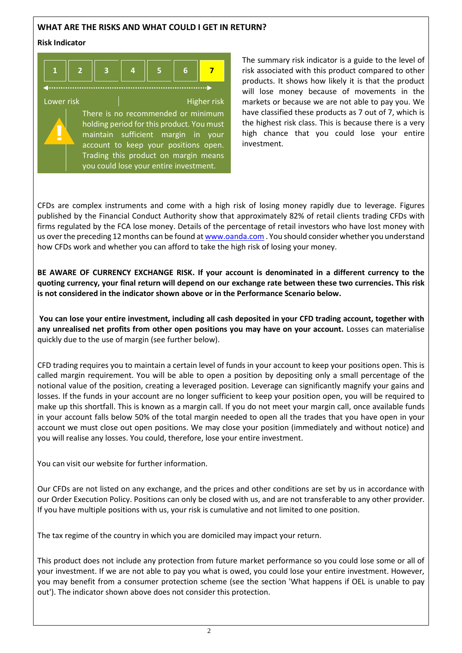# **WHAT ARE THE RISKS AND WHAT COULD I GET IN RETURN?**

#### **Risk Indicator**

**!**



Lower risk **Higher risk** Higher risk There is no recommended or minimum holding period for this product. You must maintain sufficient margin in your account to keep your positions open. Trading this product on margin means you could lose your entire investment.

The summary risk indicator is a guide to the level of risk associated with this product compared to other products. It shows how likely it is that the product will lose money because of movements in the markets or because we are not able to pay you. We have classified these products as 7 out of 7, which is the highest risk class. This is because there is a very high chance that you could lose your entire investment.

CFDs are complex instruments and come with a high risk of losing money rapidly due to leverage. Figures published by the Financial Conduct Authority show that approximately 82% of retail clients trading CFDs with firms regulated by the FCA lose money. Details of the percentage of retail investors who have lost money with us over the preceding 12 months can be found a[t www.oanda.com](http://www.oanda.com/) . You should consider whether you understand how CFDs work and whether you can afford to take the high risk of losing your money.

**BE AWARE OF CURRENCY EXCHANGE RISK. If your account is denominated in a different currency to the quoting currency, your final return will depend on our exchange rate between these two currencies. This risk is not considered in the indicator shown above or in the Performance Scenario below.**

**You can lose your entire investment, including all cash deposited in your CFD trading account, together with any unrealised net profits from other open positions you may have on your account.** Losses can materialise quickly due to the use of margin (see further below).

CFD trading requires you to maintain a certain level of funds in your account to keep your positions open. This is called margin requirement. You will be able to open a position by depositing only a small percentage of the notional value of the position, creating a leveraged position. Leverage can significantly magnify your gains and losses. If the funds in your account are no longer sufficient to keep your position open, you will be required to make up this shortfall. This is known as a margin call. If you do not meet your margin call, once available funds in your account falls below 50% of the total margin needed to open all the trades that you have open in your account we must close out open positions. We may close your position (immediately and without notice) and you will realise any losses. You could, therefore, lose your entire investment.

You can visit our website for further information.

Our CFDs are not listed on any exchange, and the prices and other conditions are set by us in accordance with our Order Execution Policy. Positions can only be closed with us, and are not transferable to any other provider. If you have multiple positions with us, your risk is cumulative and not limited to one position.

The tax regime of the country in which you are domiciled may impact your return.

This product does not include any protection from future market performance so you could lose some or all of your investment. If we are not able to pay you what is owed, you could lose your entire investment. However, you may benefit from a consumer protection scheme (see the section 'What happens if OEL is unable to pay out'). The indicator shown above does not consider this protection.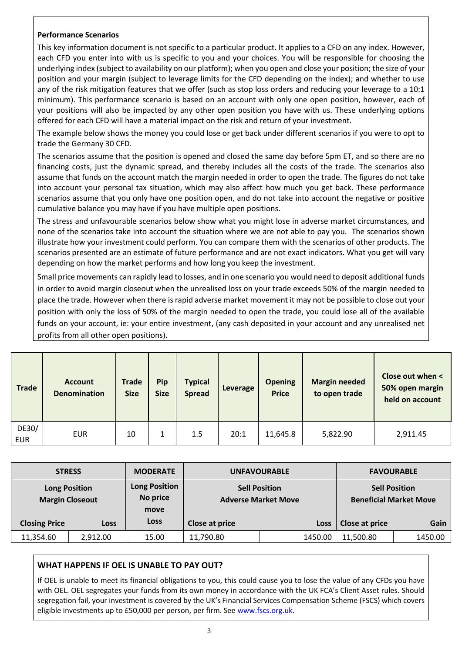# **Performance Scenarios**

This key information document is not specific to a particular product. It applies to a CFD on any index. However, each CFD you enter into with us is specific to you and your choices. You will be responsible for choosing the underlying index (subject to availability on our platform); when you open and close your position; the size of your position and your margin (subject to leverage limits for the CFD depending on the index); and whether to use any of the risk mitigation features that we offer (such as stop loss orders and reducing your leverage to a 10:1 minimum). This performance scenario is based on an account with only one open position, however, each of your positions will also be impacted by any other open position you have with us. These underlying options offered for each CFD will have a material impact on the risk and return of your investment.

The example below shows the money you could lose or get back under different scenarios if you were to opt to trade the Germany 30 CFD.

The scenarios assume that the position is opened and closed the same day before 5pm ET, and so there are no financing costs, just the dynamic spread, and thereby includes all the costs of the trade. The scenarios also assume that funds on the account match the margin needed in order to open the trade. The figures do not take into account your personal tax situation, which may also affect how much you get back. These performance scenarios assume that you only have one position open, and do not take into account the negative or positive cumulative balance you may have if you have multiple open positions.

The stress and unfavourable scenarios below show what you might lose in adverse market circumstances, and none of the scenarios take into account the situation where we are not able to pay you. The scenarios shown illustrate how your investment could perform. You can compare them with the scenarios of other products. The scenarios presented are an estimate of future performance and are not exact indicators. What you get will vary depending on how the market performs and how long you keep the investment.

Small price movements can rapidly lead to losses, and in one scenario you would need to deposit additional funds in order to avoid margin closeout when the unrealised loss on your trade exceeds 50% of the margin needed to place the trade. However when there is rapid adverse market movement it may not be possible to close out your position with only the loss of 50% of the margin needed to open the trade, you could lose all of the available funds on your account, ie: your entire investment, (any cash deposited in your account and any unrealised net profits from all other open positions).

| <b>Trade</b>        | <b>Account</b><br><b>Denomination</b> | <b>Trade</b><br><b>Size</b> | Pip<br><b>Size</b> | <b>Typical</b><br><b>Spread</b> | Leverage | <b>Opening</b><br><b>Price</b> | <b>Margin needed</b><br>to open trade | Close out when <<br>50% open margin<br>held on account |
|---------------------|---------------------------------------|-----------------------------|--------------------|---------------------------------|----------|--------------------------------|---------------------------------------|--------------------------------------------------------|
| DE30/<br><b>EUR</b> | <b>EUR</b>                            | 10                          |                    | 1.5                             | 20:1     | 11,645.8                       | 5,822.90                              | 2,911.45                                               |

| <b>STRESS</b>        |                                                | <b>MODERATE</b>                                                                                |                | <b>UNFAVOURABLE</b> | <b>FAVOURABLE</b>                                     |         |
|----------------------|------------------------------------------------|------------------------------------------------------------------------------------------------|----------------|---------------------|-------------------------------------------------------|---------|
|                      | <b>Long Position</b><br><b>Margin Closeout</b> | <b>Long Position</b><br><b>Sell Position</b><br>No price<br><b>Adverse Market Move</b><br>move |                |                     | <b>Sell Position</b><br><b>Beneficial Market Move</b> |         |
| <b>Closing Price</b> | <b>Loss</b>                                    | Loss                                                                                           | Close at price | <b>Loss</b>         | Close at price                                        | Gain    |
| 11,354.60            | 2,912.00                                       | 15.00                                                                                          | 11,790.80      | 1450.00             | 11,500.80                                             | 1450.00 |

# **WHAT HAPPENS IF OEL IS UNABLE TO PAY OUT?**

If OEL is unable to meet its financial obligations to you, this could cause you to lose the value of any CFDs you have with OEL. OEL segregates your funds from its own money in accordance with the UK FCA's Client Asset rules. Should segregation fail, your investment is covered by the UK's Financial Services Compensation Scheme (FSCS) which covers eligible investments up to £50,000 per person, per firm. See [www.fscs.org.uk.](http://www.fscs.org.uk/)